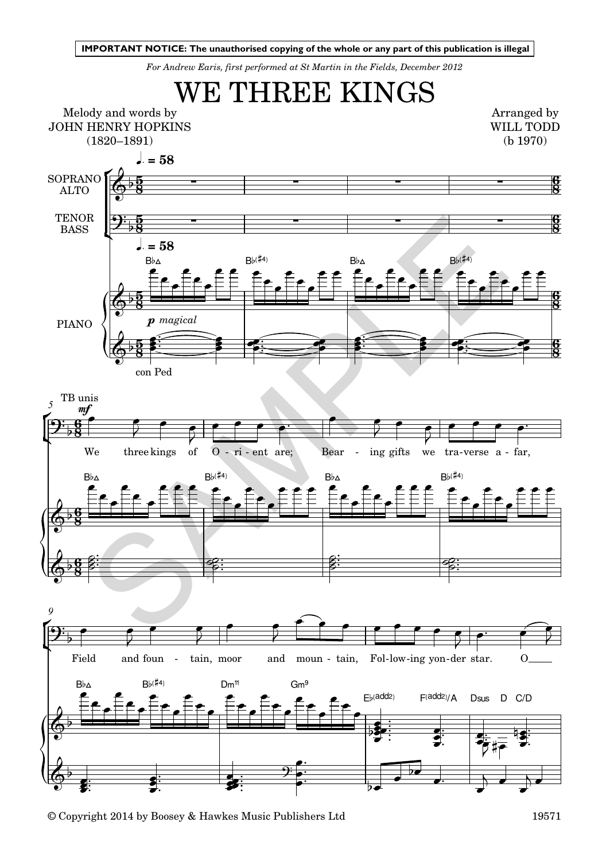*For Andrew Earis, first performed at St Martin in the Fields, December 2012*



© Copyright 2014 by Boosey & Hawkes Music Publishers Ltd 19571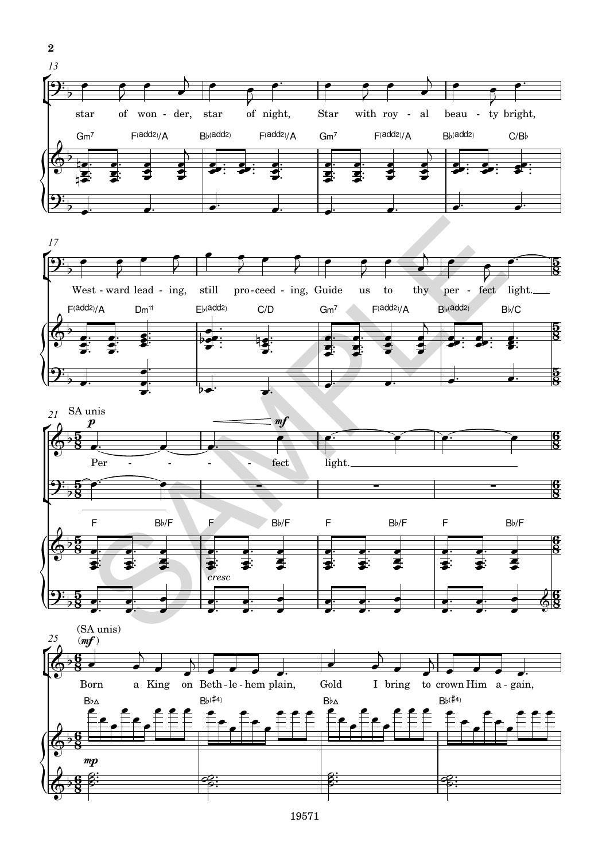





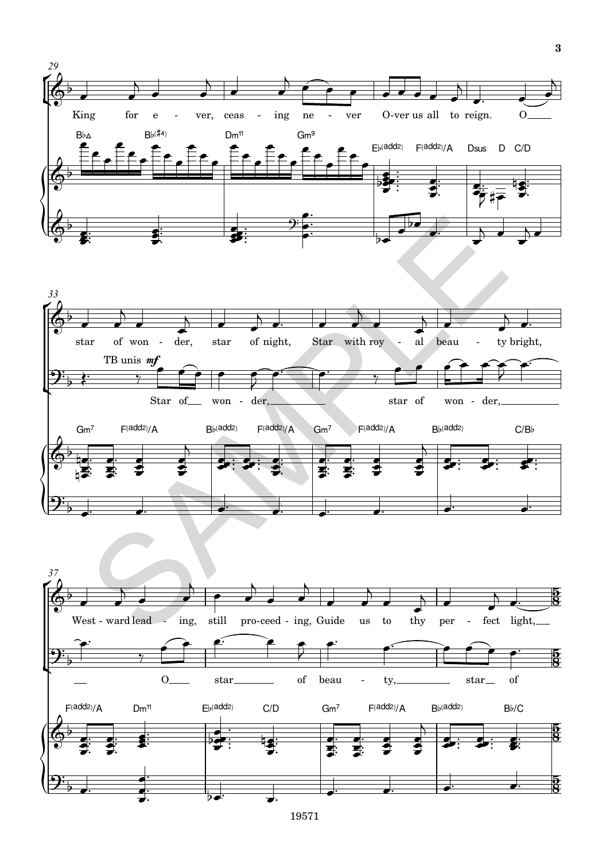

19571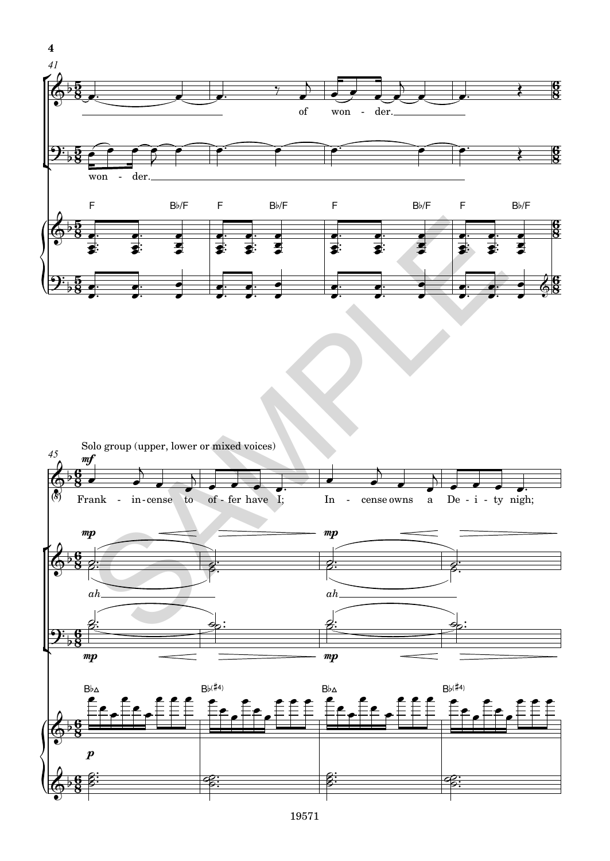

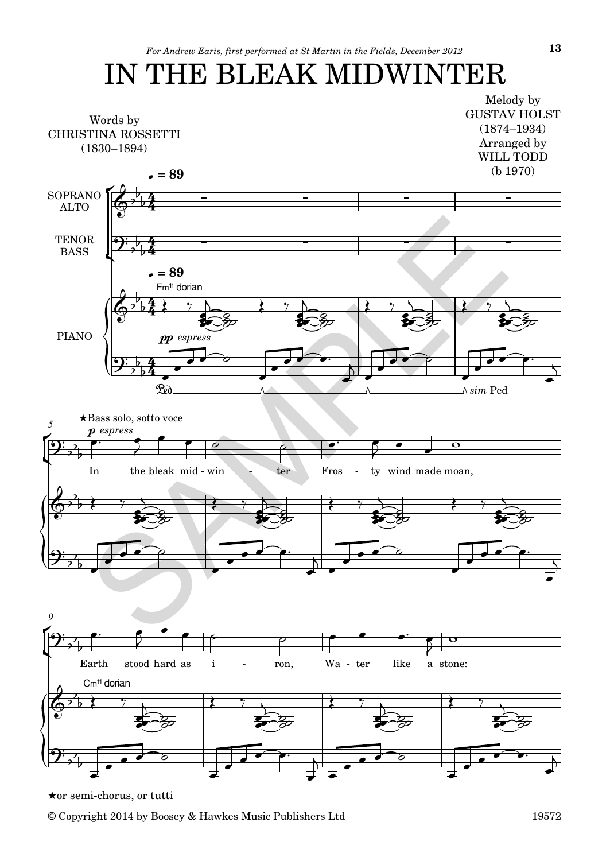## IN THE BLEAK MIDWINTER



Hor semi-chorus, or tutti

© Copyright 2014 by Boosey & Hawkes Music Publishers Ltd 19572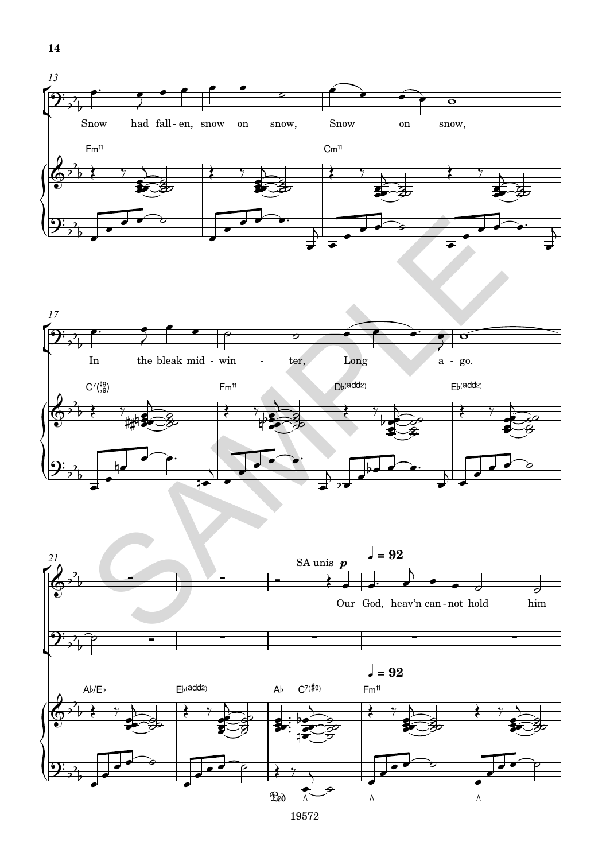



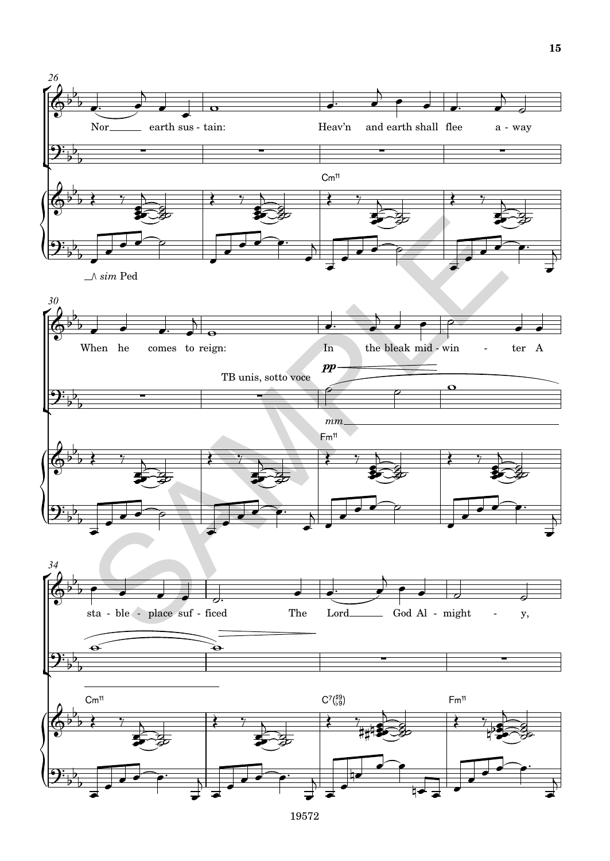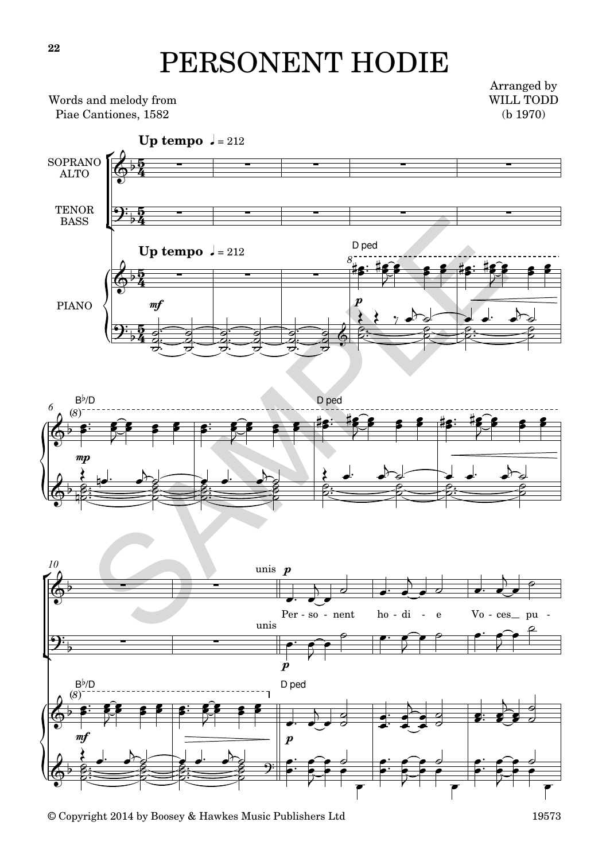## PERSONENT HODIE

Words and melody from Piae Cantiones, 1582

Arranged by WILL TODD (b 1970)

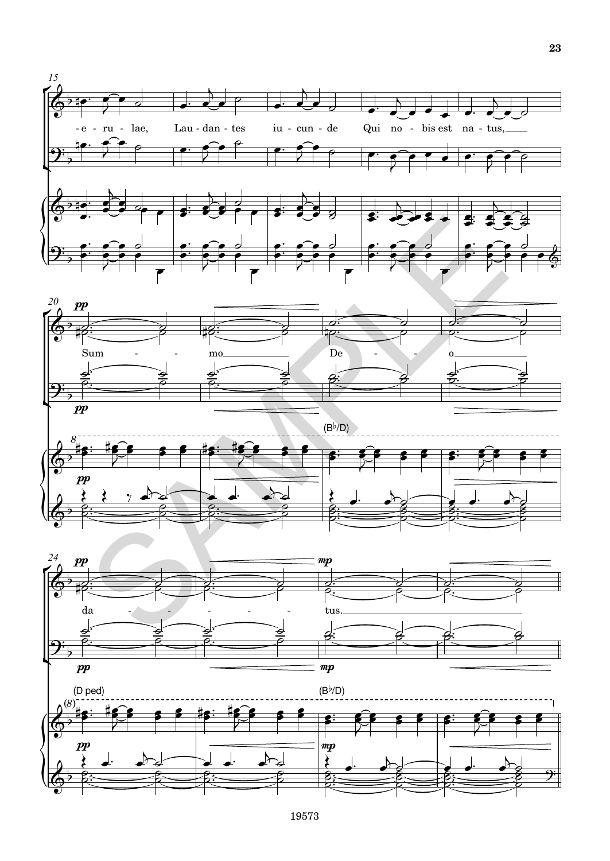